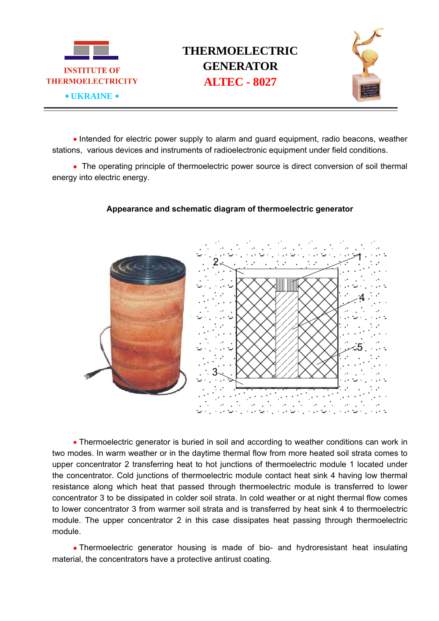

## **THERMOELECTRIC GENERATOR**



• Intended for electric power supply to alarm and guard equipment, radio beacons, weather stations, various devices and instruments of radioelectronic equipment under field conditions.

• The operating principle of thermoelectric power source is direct conversion of soil thermal energy into electric energy.



## **Appearance and schematic diagram of thermoelectric generator**

• Thermoelectric generator is buried in soil and according to weather conditions can work in two modes. In warm weather or in the daytime thermal flow from more heated soil strata comes to upper concentrator 2 transferring heat to hot junctions of thermoelectric module 1 located under the concentrator. Cold junctions of thermoelectric module contact heat sink 4 having low thermal resistance along which heat that passed through thermoelectric module is transferred to lower concentrator 3 to be dissipated in colder soil strata. In cold weather or at night thermal flow comes to lower concentrator 3 from warmer soil strata and is transferred by heat sink 4 to thermoelectric module. The upper concentrator 2 in this case dissipates heat passing through thermoelectric module.

 Thermoelectric generator housing is made of bio- and hydroresistant heat insulating material, the concentrators have a protective antirust coating.